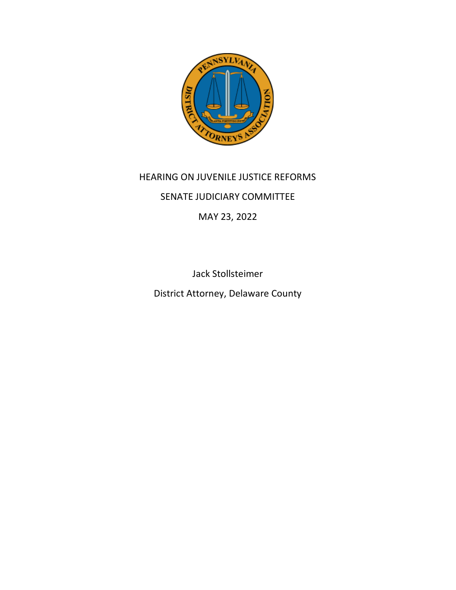

## HEARING ON JUVENILE JUSTICE REFORMS SENATE JUDICIARY COMMITTEE MAY 23, 2022

Jack Stollsteimer District Attorney, Delaware County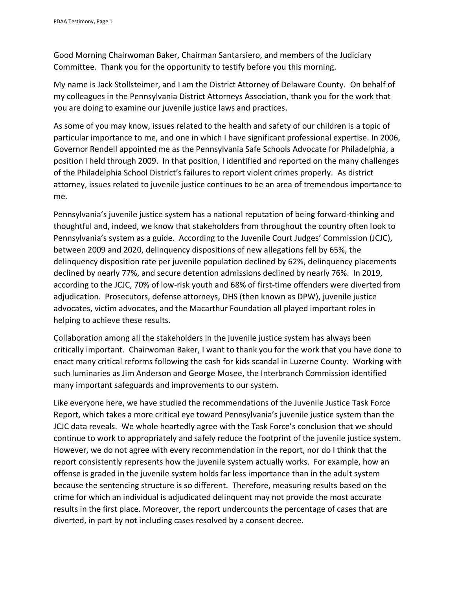Good Morning Chairwoman Baker, Chairman Santarsiero, and members of the Judiciary Committee. Thank you for the opportunity to testify before you this morning.

My name is Jack Stollsteimer, and I am the District Attorney of Delaware County. On behalf of my colleagues in the Pennsylvania District Attorneys Association, thank you for the work that you are doing to examine our juvenile justice laws and practices.

As some of you may know, issues related to the health and safety of our children is a topic of particular importance to me, and one in which I have significant professional expertise. In 2006, Governor Rendell appointed me as the Pennsylvania Safe Schools Advocate for Philadelphia, a position I held through 2009. In that position, I identified and reported on the many challenges of the Philadelphia School District's failures to report violent crimes properly. As district attorney, issues related to juvenile justice continues to be an area of tremendous importance to me.

Pennsylvania's juvenile justice system has a national reputation of being forward-thinking and thoughtful and, indeed, we know that stakeholders from throughout the country often look to Pennsylvania's system as a guide. According to the Juvenile Court Judges' Commission (JCJC), between 2009 and 2020, delinquency dispositions of new allegations fell by 65%, the delinquency disposition rate per juvenile population declined by 62%, delinquency placements declined by nearly 77%, and secure detention admissions declined by nearly 76%. In 2019, according to the JCJC, 70% of low-risk youth and 68% of first-time offenders were diverted from adjudication. Prosecutors, defense attorneys, DHS (then known as DPW), juvenile justice advocates, victim advocates, and the Macarthur Foundation all played important roles in helping to achieve these results.

Collaboration among all the stakeholders in the juvenile justice system has always been critically important. Chairwoman Baker, I want to thank you for the work that you have done to enact many critical reforms following the cash for kids scandal in Luzerne County. Working with such luminaries as Jim Anderson and George Mosee, the Interbranch Commission identified many important safeguards and improvements to our system.

Like everyone here, we have studied the recommendations of the Juvenile Justice Task Force Report, which takes a more critical eye toward Pennsylvania's juvenile justice system than the JCJC data reveals. We whole heartedly agree with the Task Force's conclusion that we should continue to work to appropriately and safely reduce the footprint of the juvenile justice system. However, we do not agree with every recommendation in the report, nor do I think that the report consistently represents how the juvenile system actually works. For example, how an offense is graded in the juvenile system holds far less importance than in the adult system because the sentencing structure is so different. Therefore, measuring results based on the crime for which an individual is adjudicated delinquent may not provide the most accurate results in the first place. Moreover, the report undercounts the percentage of cases that are diverted, in part by not including cases resolved by a consent decree.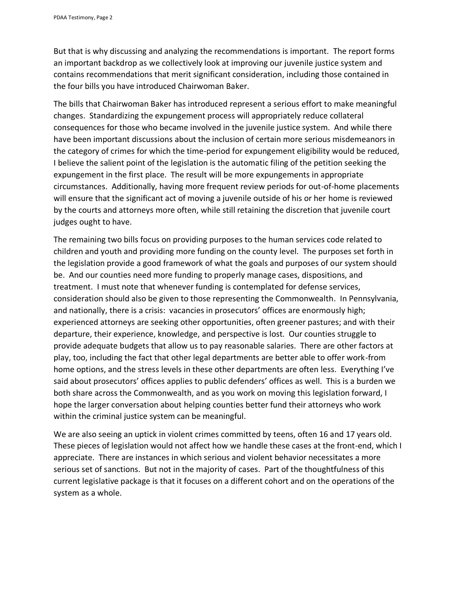But that is why discussing and analyzing the recommendations is important. The report forms an important backdrop as we collectively look at improving our juvenile justice system and contains recommendations that merit significant consideration, including those contained in the four bills you have introduced Chairwoman Baker.

The bills that Chairwoman Baker has introduced represent a serious effort to make meaningful changes. Standardizing the expungement process will appropriately reduce collateral consequences for those who became involved in the juvenile justice system. And while there have been important discussions about the inclusion of certain more serious misdemeanors in the category of crimes for which the time-period for expungement eligibility would be reduced, I believe the salient point of the legislation is the automatic filing of the petition seeking the expungement in the first place. The result will be more expungements in appropriate circumstances. Additionally, having more frequent review periods for out-of-home placements will ensure that the significant act of moving a juvenile outside of his or her home is reviewed by the courts and attorneys more often, while still retaining the discretion that juvenile court judges ought to have.

The remaining two bills focus on providing purposes to the human services code related to children and youth and providing more funding on the county level. The purposes set forth in the legislation provide a good framework of what the goals and purposes of our system should be. And our counties need more funding to properly manage cases, dispositions, and treatment. I must note that whenever funding is contemplated for defense services, consideration should also be given to those representing the Commonwealth. In Pennsylvania, and nationally, there is a crisis: vacancies in prosecutors' offices are enormously high; experienced attorneys are seeking other opportunities, often greener pastures; and with their departure, their experience, knowledge, and perspective is lost. Our counties struggle to provide adequate budgets that allow us to pay reasonable salaries. There are other factors at play, too, including the fact that other legal departments are better able to offer work-from home options, and the stress levels in these other departments are often less. Everything I've said about prosecutors' offices applies to public defenders' offices as well. This is a burden we both share across the Commonwealth, and as you work on moving this legislation forward, I hope the larger conversation about helping counties better fund their attorneys who work within the criminal justice system can be meaningful.

We are also seeing an uptick in violent crimes committed by teens, often 16 and 17 years old. These pieces of legislation would not affect how we handle these cases at the front-end, which I appreciate. There are instances in which serious and violent behavior necessitates a more serious set of sanctions. But not in the majority of cases. Part of the thoughtfulness of this current legislative package is that it focuses on a different cohort and on the operations of the system as a whole.